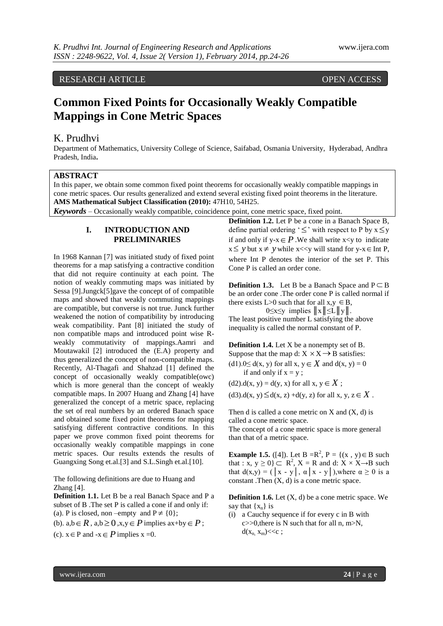## RESEARCH ARTICLE OPEN ACCESS

# **Common Fixed Points for Occasionally Weakly Compatible Mappings in Cone Metric Spaces**

## K. Prudhvi

Department of Mathematics, University College of Science, Saifabad, Osmania University, Hyderabad, Andhra Pradesh, India**.**

## **ABSTRACT**

In this paper, we obtain some common fixed point theorems for occasionally weakly compatible mappings in cone metric spaces. Our results generalized and extend several existing fixed point theorems in the literature. **AMS Mathematical Subject Classification (2010):** 47H10, 54H25.

*Keywords* – Occasionally weakly compatible, coincidence point, cone metric space, fixed point.

#### **I. INTRODUCTION AND PRELIMINARIES**

In 1968 Kannan [7] was initiated study of fixed point theorems for a map satisfying a contractive condition that did not require continuity at each point. The notion of weakly commuting maps was initiated by Sessa [9].Jungck[5]gave the concept of of compatible maps and showed that weakly commuting mappings are compatible, but converse is not true. Junck further weakened the notion of compatibility by introducing weak compatibility. Pant [8] initiated the study of non compatible maps and introduced point wise Rweakly commutativity of mappings.Aamri and Moutawakil [2] introduced the (E.A) property and thus generalized the concept of non-compatible maps. Recently, Al-Thagafi and Shahzad [1] defined the concept of occasionally weakly compatible(owc) which is more general than the concept of weakly compatible maps. In 2007 Huang and Zhang [4] have generalized the concept of a metric space, replacing the set of real numbers by an ordered Banach space and obtained some fixed point theorems for mapping satisfying different contractive conditions. In this paper we prove common fixed point theorems for occasionally weakly compatible mappings in cone metric spaces. Our results extends the results of Guangxing Song et.al.[3] and S.L.Singh et.al.[10].

The following definitions are due to Huang and Zhang [4].

**Definition 1.1.** Let B be a real Banach Space and P a subset of B .The set P is called a cone if and only if: (a). P is closed, non –empty and  $P \neq \{0\};$ 

(b).  $a,b \in R$ ,  $a,b \ge 0$ ,  $x,y \in P$  implies  $ax+by \in P$ ;

(c).  $x \in P$  and  $-x \in P$  implies  $x = 0$ .

**Definition 1.2.** Let P be a cone in a Banach Space B, define partial ordering ' $\leq$ ' with respect to P by  $x \leq y$ if and only if  $y-x \in P$ . We shall write  $x \leq y$  to indicate  $x \leq y$  but  $x \neq y$  while  $x \ll y$  will stand for  $y-x \in$  Int P, where Int P denotes the interior of the set P. This Cone P is called an order cone.

**Definition 1.3.** Let B be a Banach Space and  $P \subset B$ be an order cone .The order cone P is called normal if there exists L>0 such that for all  $x, y \in B$ ,

 $0 \le x \le y$  implies  $||x|| \le L ||y||$ .

The least positive number L satisfying the above inequality is called the normal constant of P.

**Definition 1.4.** Let X be a nonempty set of B. Suppose that the map d:  $X \times X \rightarrow B$  satisfies: (d1). $0 \le d(x, y)$  for all  $x, y \in X$  and  $d(x, y) = 0$ if and only if  $x = y$ ;

 $(d2).d(x, y) = d(y, x)$  for all  $x, y \in X$ ;

 $(d3)$ .d(x, y)  $\leq d(x, z) + d(y, z)$  for all x, y,  $z \in X$ .

Then d is called a cone metric on  $X$  and  $(X, d)$  is called a cone metric space. The concept of a cone metric space is more general than that of a metric space.

**Example 1.5.** ([4]). Let  $B = R^2$ ,  $P = \{(x, y) \in B \text{ such }$ that :  $\mathbf{x}, \mathbf{y} \geq 0$   $\subset \mathbb{R}^2$ ,  $\mathbf{X} = \mathbb{R}$  and d:  $\mathbf{X} \times \mathbb{X} \rightarrow \mathbb{B}$  such that  $d(x,y) = ( |x - y|, \alpha |x - y|)$ , where  $\alpha \ge 0$  is a constant .Then  $(X, d)$  is a cone metric space.

**Definition 1.6.** Let (X, d) be a cone metric space. We say that  $\{x_n\}$  is

(i) a Cauchy sequence if for every c in B with c>>0,there is N such that for all n, m>N,  $d(x_n, x_m) \ll c$ ;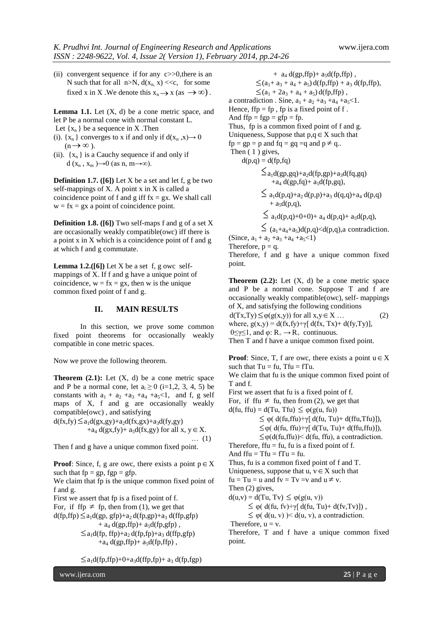(ii) convergent sequence if for any c>>0,there is an N such that for all  $n>N$ ,  $d(x_n, x) \ll c$ , for some fixed x in X. We denote this  $x_n \rightarrow x$  (as  $\rightarrow \infty$ ).

**Lemma 1.1.** Let  $(X, d)$  be a cone metric space, and let P be a normal cone with normal constant L.

Let  $\{x_n\}$  be a sequence in X. Then

- (i).  $\{x_n\}$  converges to x if and only if  $d(x_n, x) \to 0$  $(n \rightarrow \infty)$ .
- (ii).  $\{x_n\}$  is a Cauchy sequence if and only if  $d(x_n, x_m) \rightarrow 0$  (as n, m $\rightarrow \infty$ ).

**Definition 1.7. ([6])** Let X be a set and let f, g be two self-mappings of X. A point x in X is called a coincidence point of f and g iff  $fx = gx$ . We shall call  $w = fx = gx$  a point of coincidence point.

**Definition 1.8. ([6])** Two self-maps f and g of a set X are occasionally weakly compatible(owc) iff there is a point x in X which is a coincidence point of f and g at which f and g commutate.

**Lemma 1.2.** ([6]) Let X be a set f, g owc selfmappings of X. If f and g have a unique point of coincidence,  $w = fx = gx$ , then w is the unique common fixed point of f and g.

#### **II. MAIN RESULTS**

In this section, we prove some common fixed point theorems for occasionally weakly compatible in cone metric spaces.

Now we prove the following theorem.

**Theorem**  $(2.1)$ **:** Let  $(X, d)$  be a cone metric space and P be a normal cone, let  $a_i \ge 0$  (i=1,2, 3, 4, 5) be constants with  $a_1 + a_2 + a_3 + a_4 + a_5 < 1$ , and f, g self maps of X, f and g are occasionally weakly compatible(owc) , and satisfying

 $d(fx, fy) \leq a_1d(gx, gy) + a_2d(fx, gx) + a_3d(fy, gy)$ +a<sub>4</sub> d(gx,fy)+ a<sub>5</sub>d(fx,gy) for all x,  $y \in X$ . … (1)

Then f and g have a unique common fixed point.

**Proof**: Since, f, g are owc, there exists a point  $p \in X$ such that  $fp = gp$ ,  $fgp = gfp$ .

We claim that fp is the unique common fixed point of f and g.

First we assert that fp is a fixed point of f.

For, if ffp  $\neq$  fp, then from (1), we get that

 $d(\text{fp}, \text{ffp}) \leq a_1 d(\text{gp}, \text{gfp}) + a_2 d(\text{fp}, \text{gp}) + a_3 d(\text{ffp}, \text{gfp})$  $+$  a<sub>4</sub> d(gp,ffp) $+$  a<sub>5</sub>d(fp,gfp),  $\leq$ a<sub>1</sub>d(fp, ffp)+a<sub>2</sub> d(fp,fp)+a<sub>3</sub> d(ffp,gfp)  $+a_4$  d(gp,ffp) +  $a_5$ d(fp,ffp),

 $\leq$ a<sub>1</sub>d(fp,ffp)+0+a<sub>3</sub>d(ffp,fp)+ a<sub>3</sub> d(fp,fgp)

 $+$  a<sub>4</sub> d(gp,ffp) + a<sub>5</sub>d(fp,ffp),  $\leq$  (a<sub>1</sub>+ a<sub>3</sub> + a<sub>4</sub> + a<sub>5</sub>) d(fp,ffp) + a<sub>3</sub> d(fp,ffp),  $\leq$ (a<sub>1</sub> + 2a<sub>3</sub> + a<sub>4</sub> + a<sub>5</sub>) d(fp,ffp), a contradiction . Sine,  $a_1 + a_2 + a_3 + a_4 + a_5 < 1$ . Hence,  $ftp = fp$ ,  $fp$  is a fixed point of f. And  $ffp = fgp = gfp = fp$ . Thus, fp is a common fixed point of f and g. Uniqueness, Suppose that  $p,q \in X$  such that  $fp = gp = p$  and  $fq = gq = q$  and  $p \neq q$ .. Then  $(1)$  gives,  $d(p,q) = d(fp,fq)$  $\leq$ a<sub>1</sub>d(gp,gq)+a<sub>2</sub>d(fp,gp)+a<sub>3</sub>d(fq,gq)  $+a_4 d(gp,fq) + a_5 d(fp,gq)$ ,  $\leq a_1 d(p,q)+a_2 d(p,p)+a_3 d(q,q)+a_4 d(p,q)$  $+$  a<sub>5</sub>d(p,q),  $\leq a_1d(p,q)+0+0+ a_4 d(p,q)+ a_5d(p,q),$  $\leq$   $(a_1+a_4+a_5)d(p,q), a contradiction.$ (Since,  $a_1 + a_2 + a_3 + a_4 + a_5 < 1$ )

Therefore,  $p = q$ .

Therefore, f and g have a unique common fixed point.

**Theorem**  $(2.2)$ **:** Let  $(X, d)$  be a cone metric space and P be a normal cone. Suppose T and f are occasionally weakly compatible(owc), self- mappings of X, and satisfying the following conditions  $d(Tx, Ty) \leq \varphi(g(x,y))$  for all  $x, y \in X$  ... (2) where,  $g(x,y) = d(fx,fy) + \gamma [d(fx, Tx) + d(fy,Ty)],$  $0 \le \gamma \le 1$ , and  $\varphi: R_+ \to R_+$  continuous. Then T and f have a unique common fixed point.

**Proof:** Since, T, f are owc, there exists a point  $u \in X$ such that  $Tu = fu$ ,  $Tfu = fTu$ .

We claim that fu is the unique common fixed point of T and f.

First we assert that fu is a fixed point of f.

For, if ffu  $\neq$  fu, then from (2), we get that

 $d(fu, ffu) = d(Tu, Tfu) \leq \varphi(g(u, fu))$  $\leq \varphi(d(\text{fu},\text{ftu})+\gamma[d(\text{fu},\text{Tu})+d(\text{ffu},\text{Tfu})]),$  $\leq \varphi(d(fu, ffu)+\gamma[d(Tu, Tu)+d(ffu, ffu)]),$  $\leq \varphi(d(\text{fu},\text{ffu})) \leq d(\text{fu},\text{ffu})$ , a contradiction.

Therefore,  $f_i u = fu$ , fu is a fixed point of f.

And  $ftu = Tfu = fTu = fu$ .

Thus, fu is a common fixed point of f and T.

Uniqueness, suppose that  $u, v \in X$  such that

 $fu = Tu = u$  and  $fv = Tv = v$  and  $u \neq v$ .

Then (2) gives,

 $d(u, v) = d(Tu, Tv) \leq \varphi(g(u, v))$ 

 $\leq \varphi(\mathrm{d}(\mathrm{f} u,\mathrm{f} v)+\gamma[\mathrm{d}(\mathrm{f} u,\mathrm{T} u)+\mathrm{d}(\mathrm{f} v,\mathrm{T} v)]),$ 

 $\leq \varphi(\,d(u, v)) \leq d(u, v)$ , a contradiction.

Therefore,  $u = v$ .

Therefore, T and f have a unique common fixed point.